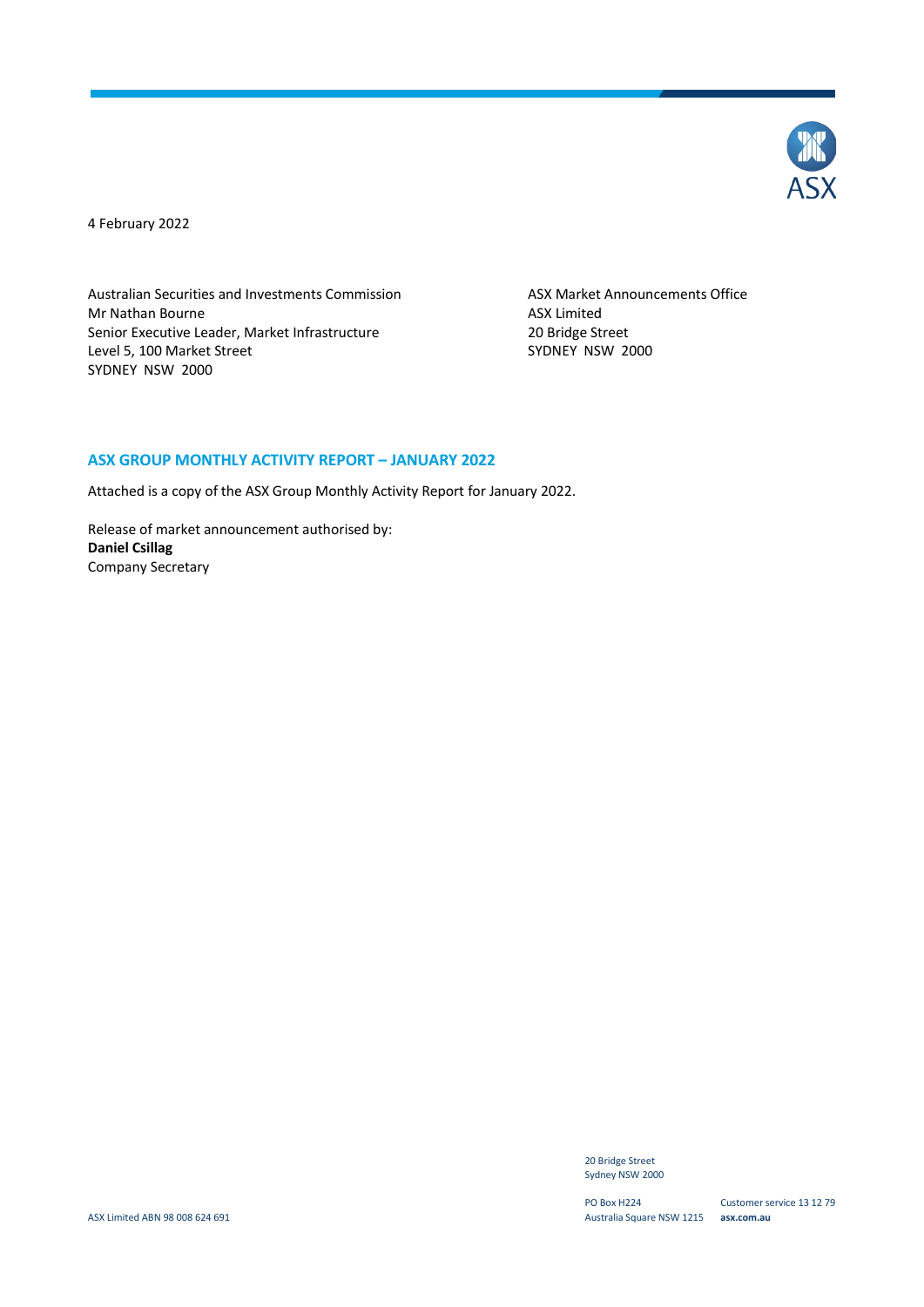

4 February 2022

Australian Securities and Investments Commission ASX Market Announcements Office Mr Nathan Bourne **ASX** Limited Senior Executive Leader, Market Infrastructure 20 Bridge Street<br>
20 Bridge Street<br>
2000 SYDNEY NSW Level 5, 100 Market Street SYDNEY NSW 2000

#### **ASX GROUP MONTHLY ACTIVITY REPORT – JANUARY 2022**

Attached is a copy of the ASX Group Monthly Activity Report for January 2022.

Release of market announcement authorised by: **Daniel Csillag** Company Secretary

> 20 Bridge Street Sydney NSW 2000

PO Box H224 Australia Square NSW 1215 **asx.com.au**

Customer service 13 12 79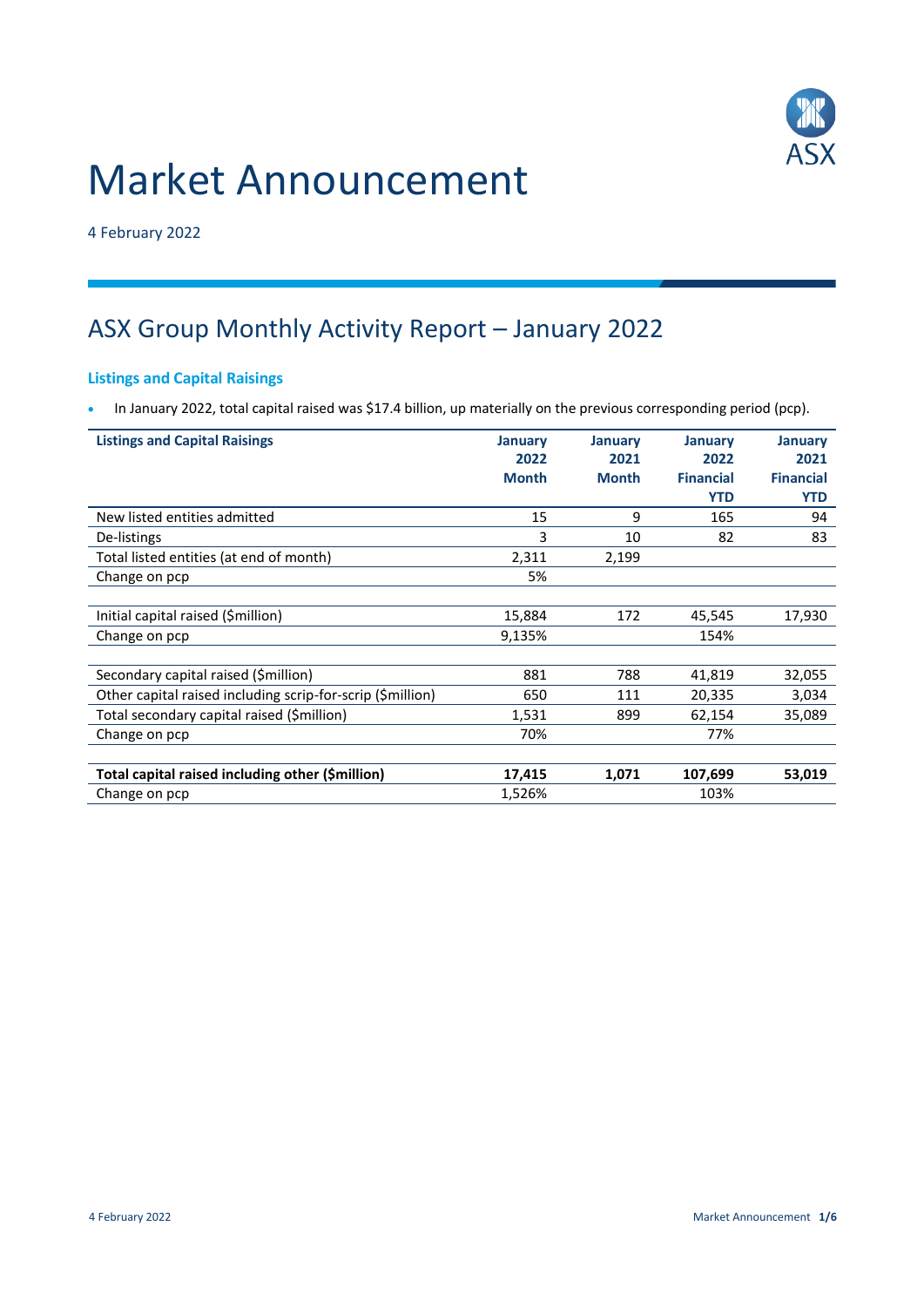# Market Announcement



4 February 2022

# ASX Group Monthly Activity Report – January 2022

# **Listings and Capital Raisings**

In January 2022, total capital raised was \$17.4 billion, up materially on the previous corresponding period (pcp).

| <b>Listings and Capital Raisings</b>                       | <b>January</b><br>2022 | <b>January</b><br>2021 | <b>January</b><br>2022 | <b>January</b><br>2021 |
|------------------------------------------------------------|------------------------|------------------------|------------------------|------------------------|
|                                                            | <b>Month</b>           | <b>Month</b>           | <b>Financial</b>       | <b>Financial</b>       |
|                                                            |                        |                        | <b>YTD</b>             | <b>YTD</b>             |
| New listed entities admitted                               | 15                     | 9                      | 165                    | 94                     |
| De-listings                                                | 3                      | 10                     | 82                     | 83                     |
| Total listed entities (at end of month)                    | 2,311                  | 2,199                  |                        |                        |
| Change on pcp                                              | 5%                     |                        |                        |                        |
|                                                            |                        |                        |                        |                        |
| Initial capital raised (\$million)                         | 15,884                 | 172                    | 45,545                 | 17,930                 |
| Change on pcp                                              | 9,135%                 |                        | 154%                   |                        |
|                                                            |                        |                        |                        |                        |
| Secondary capital raised (\$million)                       | 881                    | 788                    | 41,819                 | 32,055                 |
| Other capital raised including scrip-for-scrip (\$million) | 650                    | 111                    | 20,335                 | 3,034                  |
| Total secondary capital raised (\$million)                 | 1,531                  | 899                    | 62,154                 | 35,089                 |
| Change on pcp                                              | 70%                    |                        | 77%                    |                        |
|                                                            |                        |                        |                        |                        |
| Total capital raised including other (\$million)           | 17,415                 | 1,071                  | 107,699                | 53,019                 |
| Change on pcp                                              | 1,526%                 |                        | 103%                   |                        |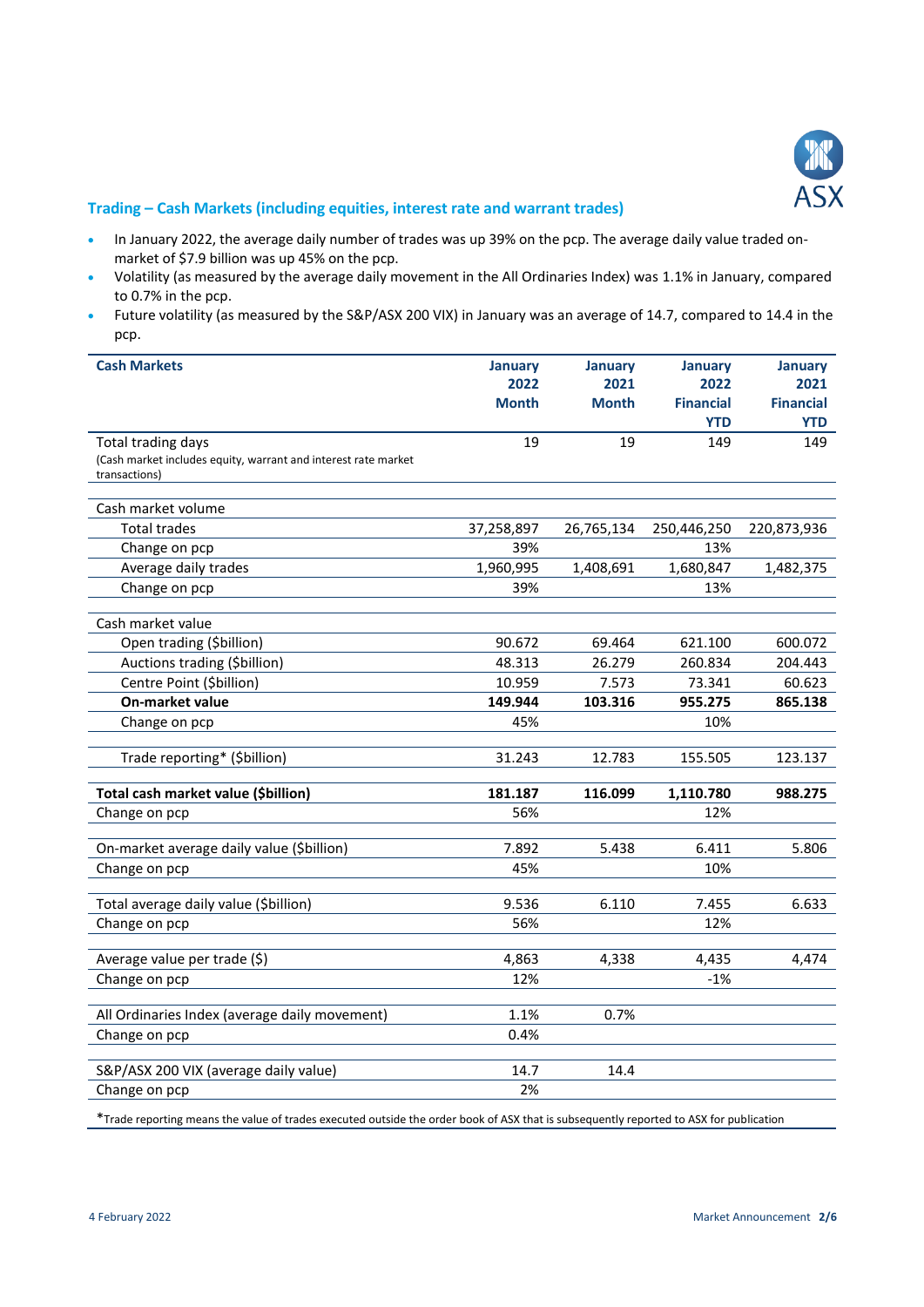

#### **Trading – Cash Markets (including equities, interest rate and warrant trades)**

- In January 2022, the average daily number of trades was up 39% on the pcp. The average daily value traded onmarket of \$7.9 billion was up 45% on the pcp.
- Volatility (as measured by the average daily movement in the All Ordinaries Index) was 1.1% in January, compared to 0.7% in the pcp.
- Future volatility (as measured by the S&P/ASX 200 VIX) in January was an average of 14.7, compared to 14.4 in the pcp.

| <b>Cash Markets</b>                                            | January      | January      | <b>January</b>   | <b>January</b>   |
|----------------------------------------------------------------|--------------|--------------|------------------|------------------|
|                                                                | 2022         | 2021         | 2022             | 2021             |
|                                                                | <b>Month</b> | <b>Month</b> | <b>Financial</b> | <b>Financial</b> |
|                                                                |              |              | <b>YTD</b>       | <b>YTD</b>       |
| Total trading days                                             | 19           | 19           | 149              | 149              |
| (Cash market includes equity, warrant and interest rate market |              |              |                  |                  |
| transactions)                                                  |              |              |                  |                  |
| Cash market volume                                             |              |              |                  |                  |
| <b>Total trades</b>                                            | 37,258,897   | 26,765,134   | 250,446,250      | 220,873,936      |
| Change on pcp                                                  | 39%          |              | 13%              |                  |
| Average daily trades                                           | 1,960,995    | 1,408,691    | 1,680,847        | 1,482,375        |
| Change on pcp                                                  | 39%          |              | 13%              |                  |
| Cash market value                                              |              |              |                  |                  |
| Open trading (\$billion)                                       | 90.672       | 69.464       | 621.100          | 600.072          |
| Auctions trading (\$billion)                                   | 48.313       | 26.279       | 260.834          | 204.443          |
| Centre Point (\$billion)                                       | 10.959       | 7.573        | 73.341           | 60.623           |
| On-market value                                                | 149.944      | 103.316      | 955.275          | 865.138          |
| Change on pcp                                                  | 45%          |              | 10%              |                  |
|                                                                |              |              |                  |                  |
| Trade reporting* (\$billion)                                   | 31.243       | 12.783       | 155.505          | 123.137          |
| Total cash market value (\$billion)                            | 181.187      | 116.099      | 1,110.780        | 988.275          |
| Change on pcp                                                  | 56%          |              | 12%              |                  |
|                                                                |              |              |                  |                  |
| On-market average daily value (\$billion)                      | 7.892        | 5.438        | 6.411            | 5.806            |
| Change on pcp                                                  | 45%          |              | 10%              |                  |
|                                                                |              |              |                  |                  |
| Total average daily value (\$billion)                          | 9.536        | 6.110        | 7.455            | 6.633            |
| Change on pcp                                                  | 56%          |              | 12%              |                  |
| Average value per trade (\$)                                   | 4,863        | 4,338        | 4,435            | 4,474            |
| Change on pcp                                                  | 12%          |              | $-1%$            |                  |
|                                                                |              |              |                  |                  |
| All Ordinaries Index (average daily movement)                  | 1.1%         | 0.7%         |                  |                  |
| Change on pcp                                                  | 0.4%         |              |                  |                  |
|                                                                |              |              |                  |                  |
| S&P/ASX 200 VIX (average daily value)                          | 14.7         | 14.4         |                  |                  |
| Change on pcp                                                  | 2%           |              |                  |                  |

\*Trade reporting means the value of trades executed outside the order book of ASX that is subsequently reported to ASX for publication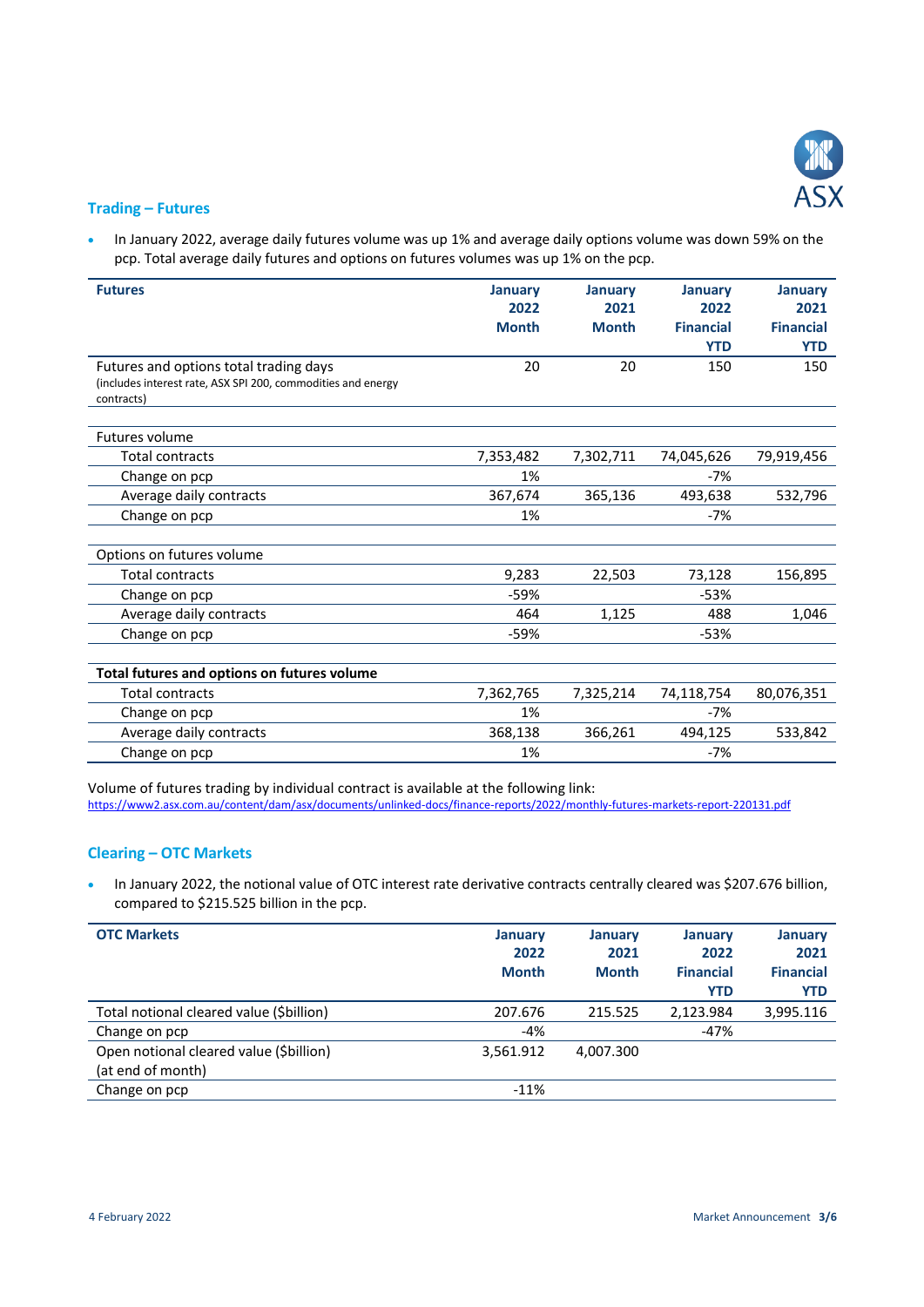

#### **Trading – Futures**

 In January 2022, average daily futures volume was up 1% and average daily options volume was down 59% on the pcp. Total average daily futures and options on futures volumes was up 1% on the pcp.

| <b>Futures</b>                                                             | <b>January</b> | <b>January</b> | January          | <b>January</b>   |
|----------------------------------------------------------------------------|----------------|----------------|------------------|------------------|
|                                                                            | 2022           | 2021           | 2022             | 2021             |
|                                                                            | <b>Month</b>   | <b>Month</b>   | <b>Financial</b> | <b>Financial</b> |
|                                                                            |                |                | <b>YTD</b>       | <b>YTD</b>       |
| Futures and options total trading days                                     | 20             | 20             | 150              | 150              |
| (includes interest rate, ASX SPI 200, commodities and energy<br>contracts) |                |                |                  |                  |
|                                                                            |                |                |                  |                  |
| Futures volume                                                             |                |                |                  |                  |
| <b>Total contracts</b>                                                     | 7,353,482      | 7,302,711      | 74,045,626       | 79,919,456       |
| Change on pcp                                                              | 1%             |                | $-7%$            |                  |
| Average daily contracts                                                    | 367,674        | 365,136        | 493,638          | 532,796          |
| Change on pcp                                                              | 1%             |                | $-7%$            |                  |
|                                                                            |                |                |                  |                  |
| Options on futures volume                                                  |                |                |                  |                  |
| <b>Total contracts</b>                                                     | 9,283          | 22,503         | 73,128           | 156,895          |
| Change on pcp                                                              | $-59%$         |                | $-53%$           |                  |
| Average daily contracts                                                    | 464            | 1,125          | 488              | 1,046            |
| Change on pcp                                                              | $-59%$         |                | $-53%$           |                  |
|                                                                            |                |                |                  |                  |
| Total futures and options on futures volume                                |                |                |                  |                  |
| <b>Total contracts</b>                                                     | 7,362,765      | 7,325,214      | 74,118,754       | 80,076,351       |
| Change on pcp                                                              | 1%             |                | $-7%$            |                  |
| Average daily contracts                                                    | 368,138        | 366,261        | 494,125          | 533,842          |
| Change on pcp                                                              | 1%             |                | $-7%$            |                  |

Volume of futures trading by individual contract is available at the following link: <https://www2.asx.com.au/content/dam/asx/documents/unlinked-docs/finance-reports/2022/monthly-futures-markets-report-220131.pdf>

### **Clearing – OTC Markets**

 In January 2022, the notional value of OTC interest rate derivative contracts centrally cleared was \$207.676 billion, compared to \$215.525 billion in the pcp.

| <b>OTC Markets</b>                                           | <b>January</b><br>2022<br><b>Month</b> | <b>January</b><br>2021<br><b>Month</b> | January<br>2022<br><b>Financial</b><br><b>YTD</b> | <b>January</b><br>2021<br><b>Financial</b><br><b>YTD</b> |
|--------------------------------------------------------------|----------------------------------------|----------------------------------------|---------------------------------------------------|----------------------------------------------------------|
| Total notional cleared value (\$billion)                     | 207.676                                | 215.525                                | 2,123.984                                         | 3,995.116                                                |
| Change on pcp                                                | $-4%$                                  |                                        | $-47%$                                            |                                                          |
| Open notional cleared value (\$billion)<br>(at end of month) | 3,561.912                              | 4.007.300                              |                                                   |                                                          |
| Change on pcp                                                | $-11%$                                 |                                        |                                                   |                                                          |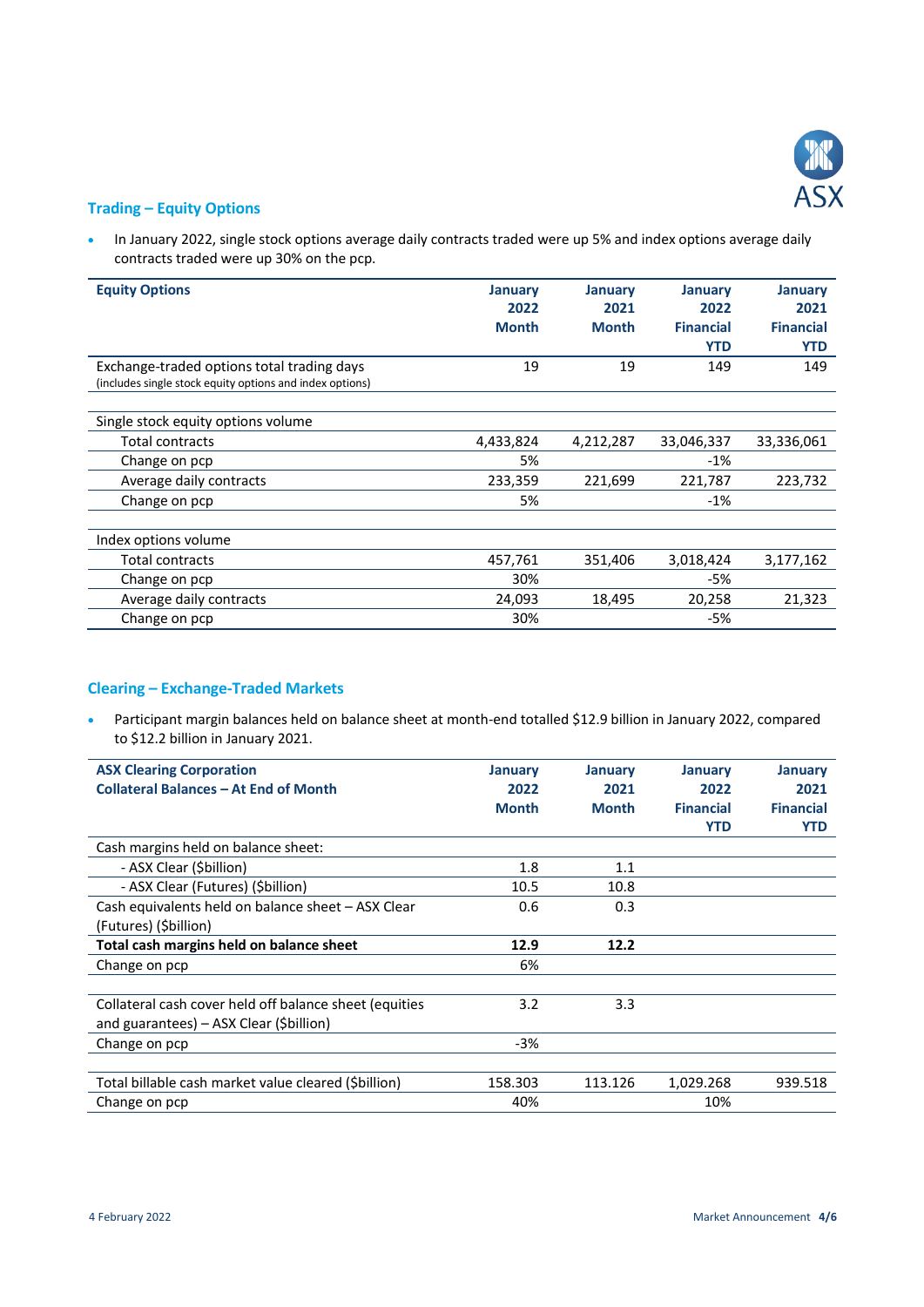

#### **Trading – Equity Options**

• In January 2022, single stock options average daily contracts traded were up 5% and index options average daily contracts traded were up 30% on the pcp.

| <b>Equity Options</b>                                    | <b>January</b><br>2022 | January<br>2021 | January<br>2022  | January<br>2021  |
|----------------------------------------------------------|------------------------|-----------------|------------------|------------------|
|                                                          | <b>Month</b>           | <b>Month</b>    | <b>Financial</b> | <b>Financial</b> |
|                                                          |                        |                 | <b>YTD</b>       | <b>YTD</b>       |
| Exchange-traded options total trading days               | 19                     | 19              | 149              | 149              |
| (includes single stock equity options and index options) |                        |                 |                  |                  |
|                                                          |                        |                 |                  |                  |
| Single stock equity options volume                       |                        |                 |                  |                  |
| Total contracts                                          | 4,433,824              | 4,212,287       | 33,046,337       | 33,336,061       |
| Change on pcp                                            | 5%                     |                 | $-1%$            |                  |
| Average daily contracts                                  | 233,359                | 221,699         | 221,787          | 223,732          |
| Change on pcp                                            | 5%                     |                 | $-1%$            |                  |
|                                                          |                        |                 |                  |                  |
| Index options volume                                     |                        |                 |                  |                  |
| Total contracts                                          | 457,761                | 351,406         | 3,018,424        | 3,177,162        |
| Change on pcp                                            | 30%                    |                 | $-5%$            |                  |
| Average daily contracts                                  | 24,093                 | 18,495          | 20,258           | 21,323           |
| Change on pcp                                            | 30%                    |                 | $-5%$            |                  |

# **Clearing – Exchange-Traded Markets**

 Participant margin balances held on balance sheet at month-end totalled \$12.9 billion in January 2022, compared to \$12.2 billion in January 2021.

| <b>ASX Clearing Corporation</b>                        | <b>January</b> | January      | January          | <b>January</b>   |
|--------------------------------------------------------|----------------|--------------|------------------|------------------|
| <b>Collateral Balances - At End of Month</b>           | 2022           | 2021         | 2022             | 2021             |
|                                                        | <b>Month</b>   | <b>Month</b> | <b>Financial</b> | <b>Financial</b> |
|                                                        |                |              | <b>YTD</b>       | <b>YTD</b>       |
| Cash margins held on balance sheet:                    |                |              |                  |                  |
| - ASX Clear (\$billion)                                | 1.8            | 1.1          |                  |                  |
| - ASX Clear (Futures) (Sbillion)                       | 10.5           | 10.8         |                  |                  |
| Cash equivalents held on balance sheet - ASX Clear     | 0.6            | 0.3          |                  |                  |
| (Futures) (Sbillion)                                   |                |              |                  |                  |
| Total cash margins held on balance sheet               | 12.9           | 12.2         |                  |                  |
| Change on pcp                                          | 6%             |              |                  |                  |
|                                                        |                |              |                  |                  |
| Collateral cash cover held off balance sheet (equities | 3.2            | 3.3          |                  |                  |
| and guarantees) - ASX Clear (\$billion)                |                |              |                  |                  |
| Change on pcp                                          | $-3%$          |              |                  |                  |
|                                                        |                |              |                  |                  |
| Total billable cash market value cleared (Sbillion)    | 158.303        | 113.126      | 1,029.268        | 939.518          |
| Change on pcp                                          | 40%            |              | 10%              |                  |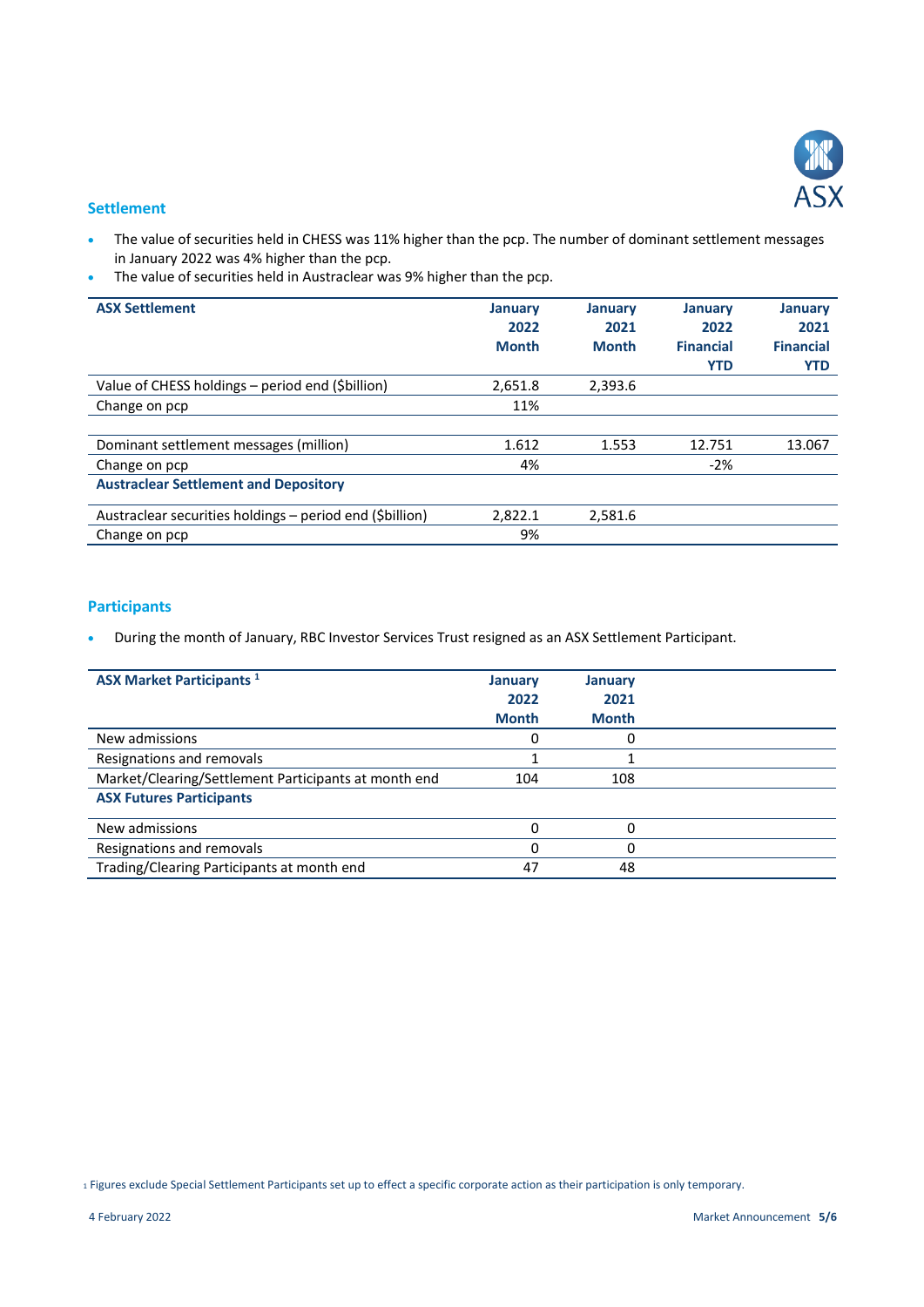

#### **Settlement**

- The value of securities held in CHESS was 11% higher than the pcp. The number of dominant settlement messages in January 2022 was 4% higher than the pcp.
- The value of securities held in Austraclear was 9% higher than the pcp.

| <b>ASX Settlement</b>                                    | <b>January</b><br>2022<br><b>Month</b> | <b>January</b><br>2021<br><b>Month</b> | <b>January</b><br>2022<br><b>Financial</b><br><b>YTD</b> | <b>January</b><br>2021<br><b>Financial</b><br><b>YTD</b> |
|----------------------------------------------------------|----------------------------------------|----------------------------------------|----------------------------------------------------------|----------------------------------------------------------|
| Value of CHESS holdings - period end (\$billion)         | 2,651.8                                | 2,393.6                                |                                                          |                                                          |
| Change on pcp                                            | 11%                                    |                                        |                                                          |                                                          |
|                                                          |                                        |                                        |                                                          |                                                          |
| Dominant settlement messages (million)                   | 1.612                                  | 1.553                                  | 12.751                                                   | 13.067                                                   |
| Change on pcp                                            | 4%                                     |                                        | $-2%$                                                    |                                                          |
| <b>Austraclear Settlement and Depository</b>             |                                        |                                        |                                                          |                                                          |
| Austraclear securities holdings - period end (\$billion) | 2,822.1                                | 2,581.6                                |                                                          |                                                          |
| Change on pcp                                            | 9%                                     |                                        |                                                          |                                                          |

# **Participants**

During the month of January, RBC Investor Services Trust resigned as an ASX Settlement Participant.

| <b>ASX Market Participants</b> <sup>1</sup>          | <b>January</b><br>2022<br><b>Month</b> | <b>January</b><br>2021<br><b>Month</b> |  |
|------------------------------------------------------|----------------------------------------|----------------------------------------|--|
| New admissions                                       |                                        |                                        |  |
| Resignations and removals                            |                                        |                                        |  |
| Market/Clearing/Settlement Participants at month end | 104                                    | 108                                    |  |
| <b>ASX Futures Participants</b>                      |                                        |                                        |  |
| New admissions                                       |                                        |                                        |  |
| Resignations and removals                            |                                        |                                        |  |
| Trading/Clearing Participants at month end           | 47                                     | 48                                     |  |

<sup>1</sup> Figures exclude Special Settlement Participants set up to effect a specific corporate action as their participation is only temporary.